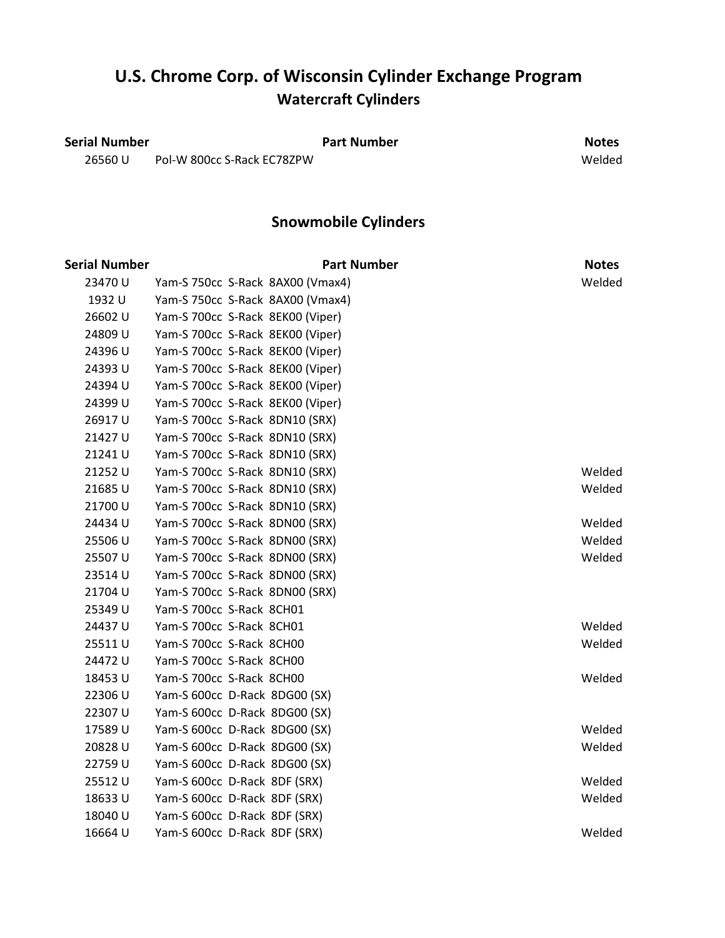### **U.S. Chrome Corp. of Wisconsin Cylinder Exchange Program Watercraft Cylinders**

**Serial Number Part Number Part Number Part Number Notes** 26560 U Pol-W 800cc S-Rack EC78ZPW Welded

|               |                                  | <b>Snowmobile Cylinders</b>      |              |
|---------------|----------------------------------|----------------------------------|--------------|
| Serial Number |                                  | <b>Part Number</b>               | <b>Notes</b> |
| 23470 U       |                                  | Yam-S 750cc S-Rack 8AX00 (Vmax4) | Welded       |
| 1932 U        |                                  | Yam-S 750cc S-Rack 8AX00 (Vmax4) |              |
| 26602 U       | Yam-S 700cc S-Rack 8EK00 (Viper) |                                  |              |
| 24809 U       | Yam-S 700cc S-Rack 8EK00 (Viper) |                                  |              |
| 24396 U       | Yam-S 700cc S-Rack 8EK00 (Viper) |                                  |              |
| 24393 U       | Yam-S 700cc S-Rack 8EK00 (Viper) |                                  |              |
| 24394 U       | Yam-S 700cc S-Rack 8EK00 (Viper) |                                  |              |
| 24399 U       | Yam-S 700cc S-Rack 8EK00 (Viper) |                                  |              |
| 26917U        | Yam-S 700cc S-Rack 8DN10 (SRX)   |                                  |              |
| 21427U        | Yam-S 700cc S-Rack 8DN10 (SRX)   |                                  |              |
| 21241U        | Yam-S 700cc S-Rack 8DN10 (SRX)   |                                  |              |
| 21252 U       | Yam-S 700cc S-Rack 8DN10 (SRX)   |                                  | Welded       |
| 21685U        | Yam-S 700cc S-Rack 8DN10 (SRX)   |                                  | Welded       |
| 21700 U       | Yam-S 700cc S-Rack 8DN10 (SRX)   |                                  |              |
| 24434 U       | Yam-S 700cc S-Rack 8DN00 (SRX)   |                                  | Welded       |
| 25506 U       | Yam-S 700cc S-Rack 8DN00 (SRX)   |                                  | Welded       |
| 25507 U       | Yam-S 700cc S-Rack 8DN00 (SRX)   |                                  | Welded       |
| 23514 U       | Yam-S 700cc S-Rack 8DN00 (SRX)   |                                  |              |
| 21704 U       | Yam-S 700cc S-Rack 8DN00 (SRX)   |                                  |              |
| 25349 U       | Yam-S 700cc S-Rack 8CH01         |                                  |              |
| 24437U        | Yam-S 700cc S-Rack 8CH01         |                                  | Welded       |
| 25511U        | Yam-S 700cc S-Rack 8CH00         |                                  | Welded       |
| 24472 U       | Yam-S 700cc S-Rack 8CH00         |                                  |              |
| 18453 U       | Yam-S 700cc S-Rack 8CH00         |                                  | Welded       |
| 22306 U       | Yam-S 600cc D-Rack 8DG00 (SX)    |                                  |              |
| 22307 U       | Yam-S 600cc D-Rack 8DG00 (SX)    |                                  |              |
| 17589 U       | Yam-S 600cc D-Rack 8DG00 (SX)    |                                  | Welded       |
| 20828U        | Yam-S 600cc D-Rack 8DG00 (SX)    |                                  | Welded       |
| 22759 U       | Yam-S 600cc D-Rack 8DG00 (SX)    |                                  |              |
| 25512U        | Yam-S 600cc D-Rack 8DF (SRX)     |                                  | Welded       |
| 18633U        | Yam-S 600cc D-Rack 8DF (SRX)     |                                  | Welded       |
| 18040 U       | Yam-S 600cc D-Rack 8DF (SRX)     |                                  |              |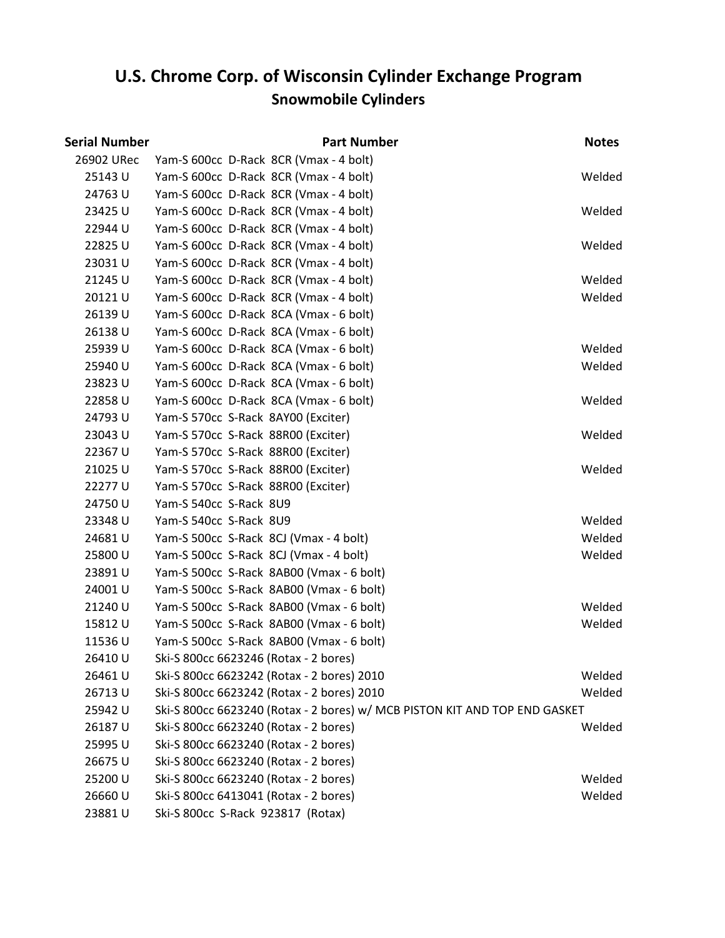| Serial Number | <b>Part Number</b>                                                         | <b>Notes</b> |
|---------------|----------------------------------------------------------------------------|--------------|
| 26902 URec    | Yam-S 600cc D-Rack 8CR (Vmax - 4 bolt)                                     |              |
| 25143 U       | Yam-S 600cc D-Rack 8CR (Vmax - 4 bolt)                                     | Welded       |
| 24763 U       | Yam-S 600cc D-Rack 8CR (Vmax - 4 bolt)                                     |              |
| 23425 U       | Yam-S 600cc D-Rack 8CR (Vmax - 4 bolt)                                     | Welded       |
| 22944 U       | Yam-S 600cc D-Rack 8CR (Vmax - 4 bolt)                                     |              |
| 22825U        | Yam-S 600cc D-Rack 8CR (Vmax - 4 bolt)                                     | Welded       |
| 23031U        | Yam-S 600cc D-Rack 8CR (Vmax - 4 bolt)                                     |              |
| 21245 U       | Yam-S 600cc D-Rack 8CR (Vmax - 4 bolt)                                     | Welded       |
| 20121U        | Yam-S 600cc D-Rack 8CR (Vmax - 4 bolt)                                     | Welded       |
| 26139 U       | Yam-S 600cc D-Rack 8CA (Vmax - 6 bolt)                                     |              |
| 26138U        | Yam-S 600cc D-Rack 8CA (Vmax - 6 bolt)                                     |              |
| 25939 U       | Yam-S 600cc D-Rack 8CA (Vmax - 6 bolt)                                     | Welded       |
| 25940 U       | Yam-S 600cc D-Rack 8CA (Vmax - 6 bolt)                                     | Welded       |
| 23823U        | Yam-S 600cc D-Rack 8CA (Vmax - 6 bolt)                                     |              |
| 22858U        | Yam-S 600cc D-Rack 8CA (Vmax - 6 bolt)                                     | Welded       |
| 24793U        | Yam-S 570cc S-Rack 8AY00 (Exciter)                                         |              |
| 23043 U       | Yam-S 570cc S-Rack 88R00 (Exciter)                                         | Welded       |
| 22367 U       | Yam-S 570cc S-Rack 88R00 (Exciter)                                         |              |
| 21025 U       | Yam-S 570cc S-Rack 88R00 (Exciter)                                         | Welded       |
| 22277 U       | Yam-S 570cc S-Rack 88R00 (Exciter)                                         |              |
| 24750 U       | Yam-S 540cc S-Rack 8U9                                                     |              |
| 23348 U       | Yam-S 540cc S-Rack 8U9                                                     | Welded       |
| 24681U        | Yam-S 500cc S-Rack 8CJ (Vmax - 4 bolt)                                     | Welded       |
| 25800 U       | Yam-S 500cc S-Rack 8CJ (Vmax - 4 bolt)                                     | Welded       |
| 23891U        | Yam-S 500cc S-Rack 8AB00 (Vmax - 6 bolt)                                   |              |
| 24001 U       | Yam-S 500cc S-Rack 8AB00 (Vmax - 6 bolt)                                   |              |
| 21240 U       | Yam-S 500cc S-Rack 8AB00 (Vmax - 6 bolt)                                   | Welded       |
| 15812U        | Yam-S 500cc S-Rack 8AB00 (Vmax - 6 bolt)                                   | Welded       |
| 11536U        | Yam-S 500cc S-Rack 8AB00 (Vmax - 6 bolt)                                   |              |
| 26410 U       | Ski-S 800cc 6623246 (Rotax - 2 bores)                                      |              |
| 26461 U       | Ski-S 800cc 6623242 (Rotax - 2 bores) 2010                                 | Welded       |
| 26713U        | Ski-S 800cc 6623242 (Rotax - 2 bores) 2010                                 | Welded       |
| 25942 U       | Ski-S 800cc 6623240 (Rotax - 2 bores) w/ MCB PISTON KIT AND TOP END GASKET |              |
| 26187U        | Ski-S 800cc 6623240 (Rotax - 2 bores)                                      | Welded       |
| 25995 U       | Ski-S 800cc 6623240 (Rotax - 2 bores)                                      |              |
| 26675U        | Ski-S 800cc 6623240 (Rotax - 2 bores)                                      |              |
| 25200 U       | Ski-S 800cc 6623240 (Rotax - 2 bores)                                      | Welded       |
| 26660 U       | Ski-S 800cc 6413041 (Rotax - 2 bores)                                      | Welded       |
| 23881U        | Ski-S 800cc S-Rack 923817 (Rotax)                                          |              |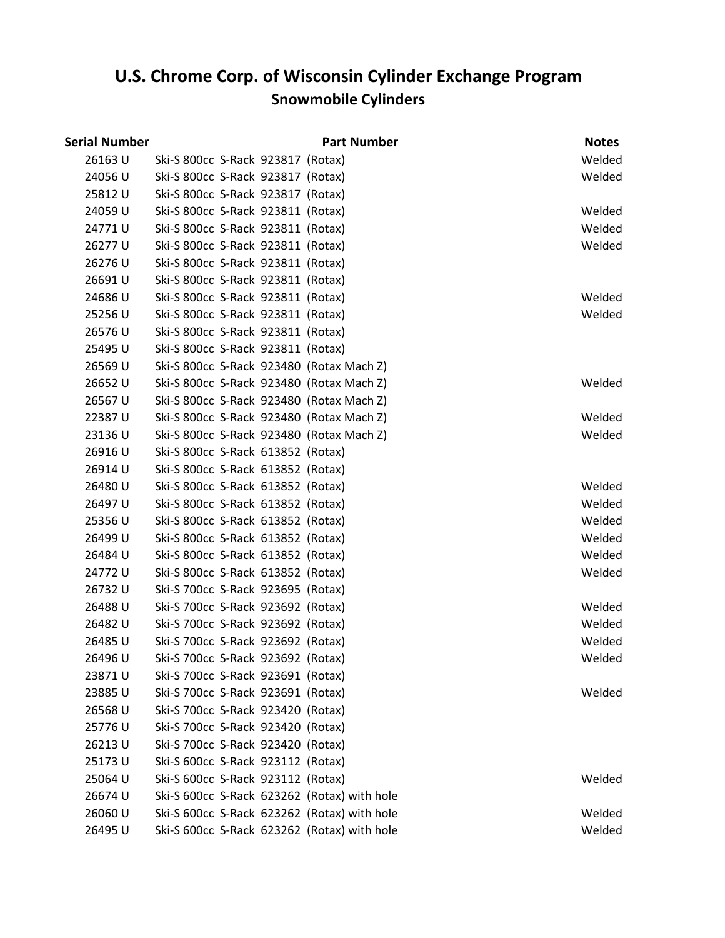# **Snowmobile Cylinders U.S. Chrome Corp. of Wisconsin Cylinder Exchange Program**

| <b>Serial Number</b> |                                             | <b>Part Number</b> | <b>Notes</b> |
|----------------------|---------------------------------------------|--------------------|--------------|
| 26163 U              | Ski-S 800cc S-Rack 923817 (Rotax)           |                    | Welded       |
| 24056 U              | Ski-S 800cc S-Rack 923817 (Rotax)           |                    | Welded       |
| 25812U               | Ski-S 800cc S-Rack 923817 (Rotax)           |                    |              |
| 24059 U              | Ski-S 800cc S-Rack 923811 (Rotax)           |                    | Welded       |
| 24771U               | Ski-S 800cc S-Rack 923811 (Rotax)           |                    | Welded       |
| 26277U               | Ski-S 800cc S-Rack 923811 (Rotax)           |                    | Welded       |
| 26276 U              | Ski-S 800cc S-Rack 923811 (Rotax)           |                    |              |
| 26691U               | Ski-S 800cc S-Rack 923811 (Rotax)           |                    |              |
| 24686U               | Ski-S 800cc S-Rack 923811 (Rotax)           |                    | Welded       |
| 25256 U              | Ski-S 800cc S-Rack 923811 (Rotax)           |                    | Welded       |
| 26576U               | Ski-S 800cc S-Rack 923811 (Rotax)           |                    |              |
| 25495 U              | Ski-S 800cc S-Rack 923811 (Rotax)           |                    |              |
| 26569 U              | Ski-S 800cc S-Rack 923480 (Rotax Mach Z)    |                    |              |
| 26652 U              | Ski-S 800cc S-Rack 923480 (Rotax Mach Z)    |                    | Welded       |
| 26567 U              | Ski-S 800cc S-Rack 923480 (Rotax Mach Z)    |                    |              |
| 22387U               | Ski-S 800cc S-Rack 923480 (Rotax Mach Z)    |                    | Welded       |
| 23136 U              | Ski-S 800cc S-Rack 923480 (Rotax Mach Z)    |                    | Welded       |
| 26916U               | Ski-S 800cc S-Rack 613852 (Rotax)           |                    |              |
| 26914 U              | Ski-S 800cc S-Rack 613852 (Rotax)           |                    |              |
| 26480 U              | Ski-S 800cc S-Rack 613852 (Rotax)           |                    | Welded       |
| 26497 U              | Ski-S 800cc S-Rack 613852 (Rotax)           |                    | Welded       |
| 25356U               | Ski-S 800cc S-Rack 613852 (Rotax)           |                    | Welded       |
| 26499 U              | Ski-S 800cc S-Rack 613852 (Rotax)           |                    | Welded       |
| 26484 U              | Ski-S 800cc S-Rack 613852 (Rotax)           |                    | Welded       |
| 24772 U              | Ski-S 800cc S-Rack 613852 (Rotax)           |                    | Welded       |
| 26732 U              | Ski-S 700cc S-Rack 923695 (Rotax)           |                    |              |
| 26488U               | Ski-S 700cc S-Rack 923692 (Rotax)           |                    | Welded       |
| 26482 U              | Ski-S 700cc S-Rack 923692 (Rotax)           |                    | Welded       |
| 26485 U              | Ski-S 700cc S-Rack 923692 (Rotax)           |                    | Welded       |
| 26496 U              | Ski-S 700cc S-Rack 923692 (Rotax)           |                    | Welded       |
| 23871U               | Ski-S 700cc S-Rack 923691 (Rotax)           |                    |              |
| 23885U               | Ski-S 700cc S-Rack 923691 (Rotax)           |                    | Welded       |
| 26568 U              | Ski-S 700cc S-Rack 923420 (Rotax)           |                    |              |
| 25776U               | Ski-S 700cc S-Rack 923420 (Rotax)           |                    |              |
| 26213U               | Ski-S 700cc S-Rack 923420 (Rotax)           |                    |              |
| 25173U               | Ski-S 600cc S-Rack 923112 (Rotax)           |                    |              |
| 25064 U              | Ski-S 600cc S-Rack 923112 (Rotax)           |                    | Welded       |
| 26674 U              | Ski-S 600cc S-Rack 623262 (Rotax) with hole |                    |              |
| 26060 U              | Ski-S 600cc S-Rack 623262 (Rotax) with hole |                    | Welded       |
| 26495 U              | Ski-S 600cc S-Rack 623262 (Rotax) with hole |                    | Welded       |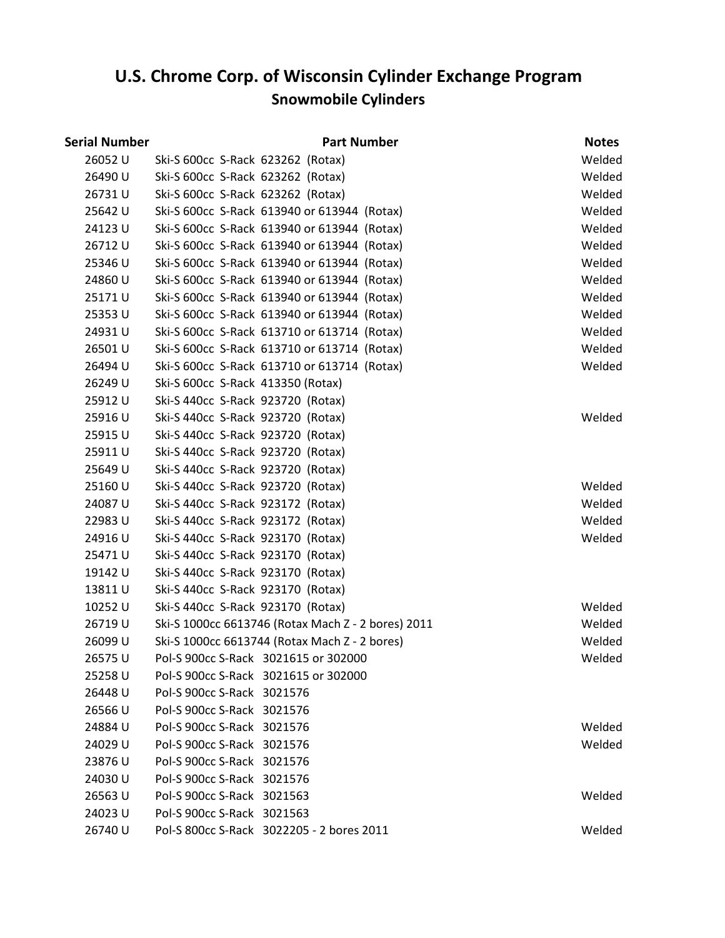| Serial Number | <b>Part Number</b>                                 | <b>Notes</b> |
|---------------|----------------------------------------------------|--------------|
| 26052 U       | Ski-S 600cc S-Rack 623262 (Rotax)                  | Welded       |
| 26490 U       | Ski-S 600cc S-Rack 623262 (Rotax)                  | Welded       |
| 26731U        | Ski-S 600cc S-Rack 623262 (Rotax)                  | Welded       |
| 25642 U       | Ski-S 600cc S-Rack 613940 or 613944 (Rotax)        | Welded       |
| 24123 U       | Ski-S 600cc S-Rack 613940 or 613944 (Rotax)        | Welded       |
| 26712U        | Ski-S 600cc S-Rack 613940 or 613944 (Rotax)        | Welded       |
| 25346 U       | Ski-S 600cc S-Rack 613940 or 613944 (Rotax)        | Welded       |
| 24860 U       | Ski-S 600cc S-Rack 613940 or 613944 (Rotax)        | Welded       |
| 25171U        | Ski-S 600cc S-Rack 613940 or 613944 (Rotax)        | Welded       |
| 25353U        | Ski-S 600cc S-Rack 613940 or 613944 (Rotax)        | Welded       |
| 24931U        | Ski-S 600cc S-Rack 613710 or 613714 (Rotax)        | Welded       |
| 26501U        | Ski-S 600cc S-Rack 613710 or 613714 (Rotax)        | Welded       |
| 26494 U       | Ski-S 600cc S-Rack 613710 or 613714 (Rotax)        | Welded       |
| 26249 U       | Ski-S 600cc S-Rack 413350 (Rotax)                  |              |
| 25912U        | Ski-S 440cc S-Rack 923720 (Rotax)                  |              |
| 25916U        | Ski-S 440cc S-Rack 923720 (Rotax)                  | Welded       |
| 25915U        | Ski-S 440cc S-Rack 923720 (Rotax)                  |              |
| 25911U        | Ski-S 440cc S-Rack 923720 (Rotax)                  |              |
| 25649 U       | Ski-S 440cc S-Rack 923720 (Rotax)                  |              |
| 25160 U       | Ski-S 440cc S-Rack 923720 (Rotax)                  | Welded       |
| 24087U        | Ski-S 440cc S-Rack 923172 (Rotax)                  | Welded       |
| 22983U        | Ski-S 440cc S-Rack 923172 (Rotax)                  | Welded       |
| 24916U        | Ski-S 440cc S-Rack 923170 (Rotax)                  | Welded       |
| 25471U        | Ski-S 440cc S-Rack 923170 (Rotax)                  |              |
| 19142 U       | Ski-S 440cc S-Rack 923170 (Rotax)                  |              |
| 13811U        | Ski-S 440cc S-Rack 923170 (Rotax)                  |              |
| 10252 U       | Ski-S 440cc S-Rack 923170 (Rotax)                  | Welded       |
| 26719U        | Ski-S 1000cc 6613746 (Rotax Mach Z - 2 bores) 2011 | Welded       |
| 26099 U       | Ski-S 1000cc 6613744 (Rotax Mach Z - 2 bores)      | Welded       |
| 26575 U       | Pol-S 900cc S-Rack 3021615 or 302000               | Welded       |
| 25258 U       | Pol-S 900cc S-Rack 3021615 or 302000               |              |
| 26448 U       | Pol-S 900cc S-Rack 3021576                         |              |
| 26566U        | Pol-S 900cc S-Rack 3021576                         |              |
| 24884 U       | Pol-S 900cc S-Rack 3021576                         | Welded       |
| 24029 U       | Pol-S 900cc S-Rack 3021576                         | Welded       |
| 23876U        | Pol-S 900cc S-Rack 3021576                         |              |
| 24030 U       | Pol-S 900cc S-Rack 3021576                         |              |
| 26563 U       | Pol-S 900cc S-Rack 3021563                         | Welded       |
| 24023 U       | Pol-S 900cc S-Rack 3021563                         |              |
| 26740 U       | Pol-S 800cc S-Rack 3022205 - 2 bores 2011          | Welded       |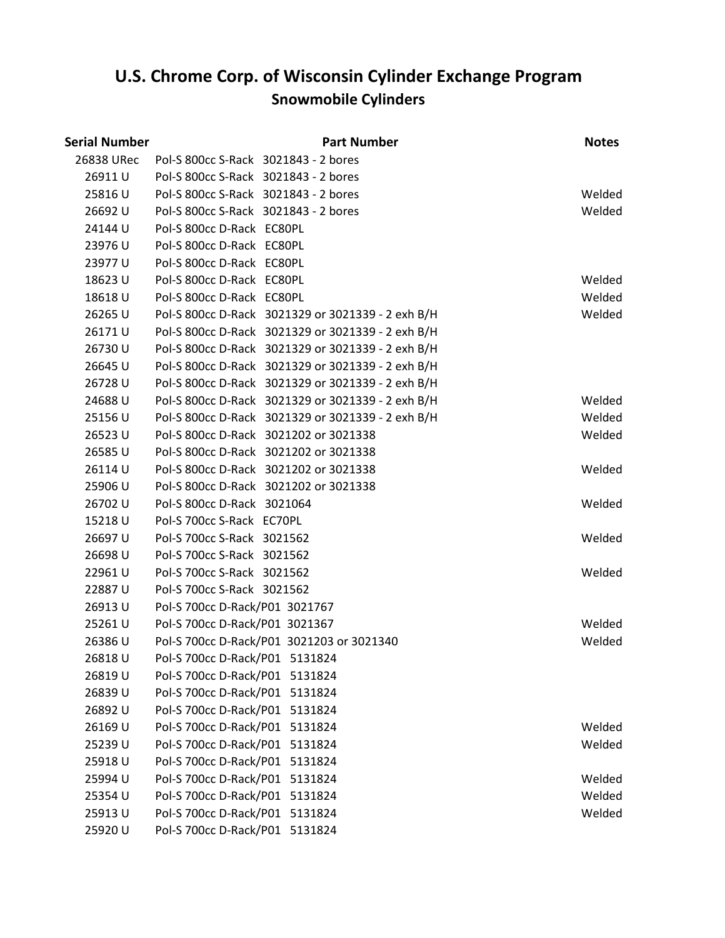| Serial Number | <b>Part Number</b>                                | <b>Notes</b> |
|---------------|---------------------------------------------------|--------------|
| 26838 URec    | Pol-S 800cc S-Rack 3021843 - 2 bores              |              |
| 26911U        | Pol-S 800cc S-Rack 3021843 - 2 bores              |              |
| 25816U        | Pol-S 800cc S-Rack 3021843 - 2 bores              | Welded       |
| 26692 U       | Pol-S 800cc S-Rack 3021843 - 2 bores              | Welded       |
| 24144 U       | Pol-S 800cc D-Rack EC80PL                         |              |
| 23976U        | Pol-S 800cc D-Rack EC80PL                         |              |
| 23977 U       | Pol-S 800cc D-Rack EC80PL                         |              |
| 18623U        | Pol-S 800cc D-Rack EC80PL                         | Welded       |
| 18618U        | Pol-S 800cc D-Rack EC80PL                         | Welded       |
| 26265U        | Pol-S 800cc D-Rack 3021329 or 3021339 - 2 exh B/H | Welded       |
| 26171U        | Pol-S 800cc D-Rack 3021329 or 3021339 - 2 exh B/H |              |
| 26730 U       | Pol-S 800cc D-Rack 3021329 or 3021339 - 2 exh B/H |              |
| 26645 U       | Pol-S 800cc D-Rack 3021329 or 3021339 - 2 exh B/H |              |
| 26728 U       | Pol-S 800cc D-Rack 3021329 or 3021339 - 2 exh B/H |              |
| 24688U        | Pol-S 800cc D-Rack 3021329 or 3021339 - 2 exh B/H | Welded       |
| 25156 U       | Pol-S 800cc D-Rack 3021329 or 3021339 - 2 exh B/H | Welded       |
| 26523 U       | Pol-S 800cc D-Rack 3021202 or 3021338             | Welded       |
| 26585U        | Pol-S 800cc D-Rack 3021202 or 3021338             |              |
| 26114U        | Pol-S 800cc D-Rack 3021202 or 3021338             | Welded       |
| 25906 U       | Pol-S 800cc D-Rack 3021202 or 3021338             |              |
| 26702 U       | Pol-S 800cc D-Rack 3021064                        | Welded       |
| 15218U        | Pol-S 700cc S-Rack EC70PL                         |              |
| 26697U        | Pol-S 700cc S-Rack 3021562                        | Welded       |
| 26698 U       | Pol-S 700cc S-Rack 3021562                        |              |
| 22961U        | Pol-S 700cc S-Rack 3021562                        | Welded       |
| 22887U        | Pol-S 700cc S-Rack 3021562                        |              |
| 26913 U       | Pol-S 700cc D-Rack/P01 3021767                    |              |
| 25261U        | Pol-S 700cc D-Rack/P01 3021367                    | Welded       |
| 26386U        | Pol-S 700cc D-Rack/P01 3021203 or 3021340         | Welded       |
| 26818 U       | Pol-S 700cc D-Rack/P01 5131824                    |              |
| 26819 U       | Pol-S 700cc D-Rack/P01 5131824                    |              |
| 26839 U       | Pol-S 700cc D-Rack/P01<br>5131824                 |              |
| 26892 U       | Pol-S 700cc D-Rack/P01<br>5131824                 |              |
| 26169 U       | Pol-S 700cc D-Rack/P01<br>5131824                 | Welded       |
| 25239 U       | Pol-S 700cc D-Rack/P01<br>5131824                 | Welded       |
| 25918U        | Pol-S 700cc D-Rack/P01<br>5131824                 |              |
| 25994 U       | Pol-S 700cc D-Rack/P01<br>5131824                 | Welded       |
| 25354 U       | Pol-S 700cc D-Rack/P01<br>5131824                 | Welded       |
| 25913U        | Pol-S 700cc D-Rack/P01<br>5131824                 | Welded       |
| 25920 U       | Pol-S 700cc D-Rack/P01 5131824                    |              |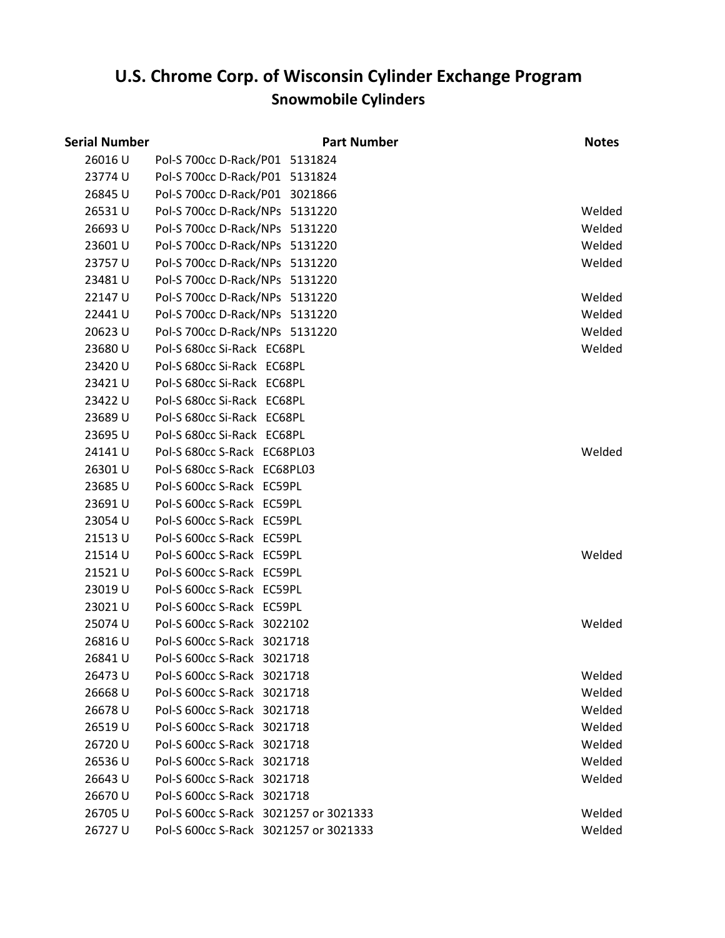| Serial Number |                                       | <b>Part Number</b> | <b>Notes</b> |
|---------------|---------------------------------------|--------------------|--------------|
| 26016U        | Pol-S 700cc D-Rack/P01 5131824        |                    |              |
| 23774 U       | Pol-S 700cc D-Rack/P01 5131824        |                    |              |
| 26845 U       | Pol-S 700cc D-Rack/P01 3021866        |                    |              |
| 26531U        | Pol-S 700cc D-Rack/NPs 5131220        |                    | Welded       |
| 26693U        | Pol-S 700cc D-Rack/NPs 5131220        |                    | Welded       |
| 23601U        | Pol-S 700cc D-Rack/NPs 5131220        |                    | Welded       |
| 23757 U       | Pol-S 700cc D-Rack/NPs 5131220        |                    | Welded       |
| 23481U        | Pol-S 700cc D-Rack/NPs 5131220        |                    |              |
| 22147U        | Pol-S 700cc D-Rack/NPs 5131220        |                    | Welded       |
| 22441 U       | Pol-S 700cc D-Rack/NPs 5131220        |                    | Welded       |
| 20623U        | Pol-S 700cc D-Rack/NPs 5131220        |                    | Welded       |
| 23680 U       | Pol-S 680cc Si-Rack EC68PL            |                    | Welded       |
| 23420 U       | Pol-S 680cc Si-Rack EC68PL            |                    |              |
| 23421 U       | Pol-S 680cc Si-Rack EC68PL            |                    |              |
| 23422 U       | Pol-S 680cc Si-Rack EC68PL            |                    |              |
| 23689 U       | Pol-S 680cc Si-Rack EC68PL            |                    |              |
| 23695U        | Pol-S 680cc Si-Rack EC68PL            |                    |              |
| 24141U        | Pol-S 680cc S-Rack EC68PL03           |                    | Welded       |
| 26301U        | Pol-S 680cc S-Rack EC68PL03           |                    |              |
| 23685U        | Pol-S 600cc S-Rack EC59PL             |                    |              |
| 23691U        | Pol-S 600cc S-Rack EC59PL             |                    |              |
| 23054 U       | Pol-S 600cc S-Rack EC59PL             |                    |              |
| 21513U        | Pol-S 600cc S-Rack EC59PL             |                    |              |
| 21514 U       | Pol-S 600cc S-Rack EC59PL             |                    | Welded       |
| 21521U        | Pol-S 600cc S-Rack EC59PL             |                    |              |
| 23019 U       | Pol-S 600cc S-Rack EC59PL             |                    |              |
| 23021U        | Pol-S 600cc S-Rack EC59PL             |                    |              |
| 25074 U       | Pol-S 600cc S-Rack 3022102            |                    | Welded       |
| 26816U        | Pol-S 600cc S-Rack 3021718            |                    |              |
| 26841U        | Pol-S 600cc S-Rack 3021718            |                    |              |
| 26473 U       | Pol-S 600cc S-Rack 3021718            |                    | Welded       |
| 26668U        | Pol-S 600cc S-Rack 3021718            |                    | Welded       |
| 26678 U       | Pol-S 600cc S-Rack 3021718            |                    | Welded       |
| 26519U        | Pol-S 600cc S-Rack 3021718            |                    | Welded       |
| 26720 U       | Pol-S 600cc S-Rack 3021718            |                    | Welded       |
| 26536U        | Pol-S 600cc S-Rack 3021718            |                    | Welded       |
| 26643 U       | Pol-S 600cc S-Rack 3021718            |                    | Welded       |
| 26670 U       | Pol-S 600cc S-Rack 3021718            |                    |              |
| 26705 U       | Pol-S 600cc S-Rack 3021257 or 3021333 |                    | Welded       |
| 26727U        | Pol-S 600cc S-Rack 3021257 or 3021333 |                    | Welded       |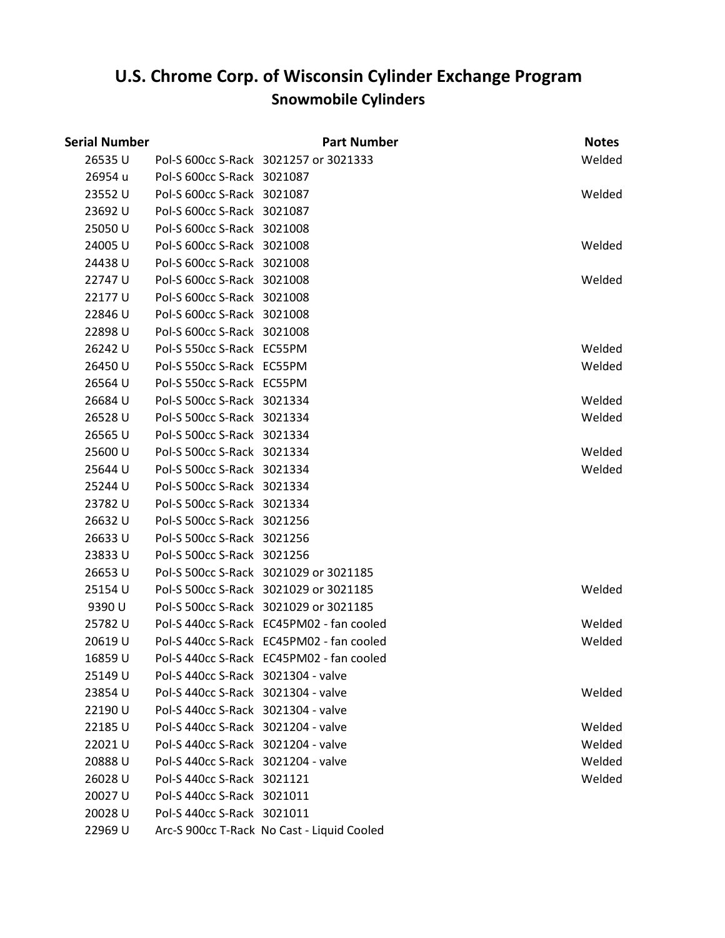| Serial Number |                                    | <b>Part Number</b>                         | <b>Notes</b> |
|---------------|------------------------------------|--------------------------------------------|--------------|
| 26535U        |                                    | Pol-S 600cc S-Rack 3021257 or 3021333      | Welded       |
| 26954 u       | Pol-S 600cc S-Rack 3021087         |                                            |              |
| 23552 U       | Pol-S 600cc S-Rack 3021087         |                                            | Welded       |
| 23692 U       | Pol-S 600cc S-Rack 3021087         |                                            |              |
| 25050 U       | Pol-S 600cc S-Rack 3021008         |                                            |              |
| 24005 U       | Pol-S 600cc S-Rack 3021008         |                                            | Welded       |
| 24438 U       | Pol-S 600cc S-Rack 3021008         |                                            |              |
| 22747 U       | Pol-S 600cc S-Rack 3021008         |                                            | Welded       |
| 22177 U       | Pol-S 600cc S-Rack 3021008         |                                            |              |
| 22846 U       | Pol-S 600cc S-Rack 3021008         |                                            |              |
| 22898U        | Pol-S 600cc S-Rack 3021008         |                                            |              |
| 26242 U       | Pol-S 550cc S-Rack EC55PM          |                                            | Welded       |
| 26450 U       | Pol-S 550cc S-Rack EC55PM          |                                            | Welded       |
| 26564 U       | Pol-S 550cc S-Rack EC55PM          |                                            |              |
| 26684 U       | Pol-S 500cc S-Rack 3021334         |                                            | Welded       |
| 26528 U       | Pol-S 500cc S-Rack 3021334         |                                            | Welded       |
| 26565 U       | Pol-S 500cc S-Rack 3021334         |                                            |              |
| 25600 U       | Pol-S 500cc S-Rack 3021334         |                                            | Welded       |
| 25644 U       | Pol-S 500cc S-Rack 3021334         |                                            | Welded       |
| 25244 U       | Pol-S 500cc S-Rack 3021334         |                                            |              |
| 23782 U       | Pol-S 500cc S-Rack 3021334         |                                            |              |
| 26632U        | Pol-S 500cc S-Rack 3021256         |                                            |              |
| 26633U        | Pol-S 500cc S-Rack 3021256         |                                            |              |
| 23833 U       | Pol-S 500cc S-Rack 3021256         |                                            |              |
| 26653U        |                                    | Pol-S 500cc S-Rack 3021029 or 3021185      |              |
| 25154 U       |                                    | Pol-S 500cc S-Rack 3021029 or 3021185      | Welded       |
| 9390 U        |                                    | Pol-S 500cc S-Rack 3021029 or 3021185      |              |
| 25782 U       |                                    | Pol-S 440cc S-Rack EC45PM02 - fan cooled   | Welded       |
| 20619 U       |                                    | Pol-S 440cc S-Rack EC45PM02 - fan cooled   | Welded       |
| 16859 U       |                                    | Pol-S 440cc S-Rack EC45PM02 - fan cooled   |              |
| 25149 U       | Pol-S 440cc S-Rack 3021304 - valve |                                            |              |
| 23854 U       | Pol-S 440cc S-Rack 3021304 - valve |                                            | Welded       |
| 22190 U       | Pol-S 440cc S-Rack 3021304 - valve |                                            |              |
| 22185 U       | Pol-S 440cc S-Rack 3021204 - valve |                                            | Welded       |
| 22021U        | Pol-S 440cc S-Rack 3021204 - valve |                                            | Welded       |
| 20888U        | Pol-S 440cc S-Rack 3021204 - valve |                                            | Welded       |
| 26028 U       | Pol-S 440cc S-Rack 3021121         |                                            | Welded       |
| 20027 U       | Pol-S 440cc S-Rack 3021011         |                                            |              |
| 20028 U       | Pol-S 440cc S-Rack 3021011         |                                            |              |
| 22969 U       |                                    | Arc-S 900cc T-Rack No Cast - Liquid Cooled |              |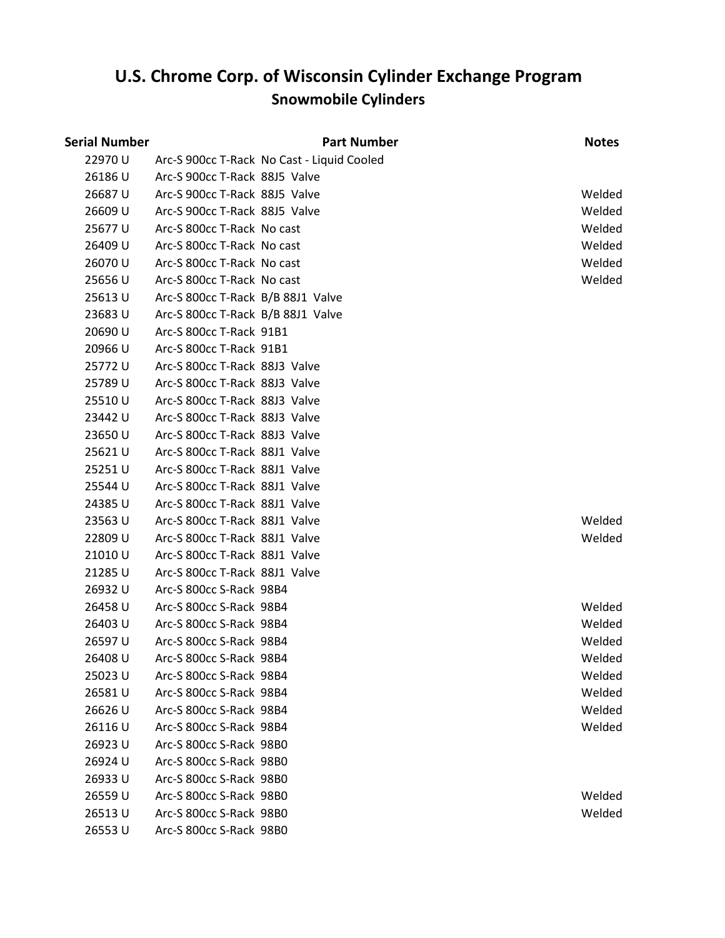| <b>Serial Number</b> |                                   | <b>Part Number</b>                         | <b>Notes</b> |
|----------------------|-----------------------------------|--------------------------------------------|--------------|
| 22970 U              |                                   | Arc-S 900cc T-Rack No Cast - Liquid Cooled |              |
| 26186U               | Arc-S 900cc T-Rack 88J5 Valve     |                                            |              |
| 26687U               | Arc-S 900cc T-Rack 88J5 Valve     |                                            | Welded       |
| 26609 U              | Arc-S 900cc T-Rack 88J5 Valve     |                                            | Welded       |
| 25677 U              | Arc-S 800cc T-Rack No cast        |                                            | Welded       |
| 26409 U              | Arc-S 800cc T-Rack No cast        |                                            | Welded       |
| 26070 U              | Arc-S 800cc T-Rack No cast        |                                            | Welded       |
| 25656U               | Arc-S 800cc T-Rack No cast        |                                            | Welded       |
| 25613U               | Arc-S 800cc T-Rack B/B 88J1 Valve |                                            |              |
| 23683 U              | Arc-S 800cc T-Rack B/B 88J1 Valve |                                            |              |
| 20690 U              | Arc-S 800cc T-Rack 91B1           |                                            |              |
| 20966 U              | Arc-S 800cc T-Rack 91B1           |                                            |              |
| 25772 U              | Arc-S 800cc T-Rack 88J3 Valve     |                                            |              |
| 25789 U              | Arc-S 800cc T-Rack 88J3 Valve     |                                            |              |
| 25510U               | Arc-S 800cc T-Rack 88J3 Valve     |                                            |              |
| 23442 U              | Arc-S 800cc T-Rack 88J3 Valve     |                                            |              |
| 23650 U              | Arc-S 800cc T-Rack 88J3 Valve     |                                            |              |
| 25621 U              | Arc-S 800cc T-Rack 88J1 Valve     |                                            |              |
| 25251U               | Arc-S 800cc T-Rack 88J1 Valve     |                                            |              |
| 25544 U              | Arc-S 800cc T-Rack 88J1 Valve     |                                            |              |
| 24385U               | Arc-S 800cc T-Rack 88J1 Valve     |                                            |              |
| 23563 U              | Arc-S 800cc T-Rack 88J1 Valve     |                                            | Welded       |
| 22809 U              | Arc-S 800cc T-Rack 88J1 Valve     |                                            | Welded       |
| 21010U               | Arc-S 800cc T-Rack 88J1 Valve     |                                            |              |
| 21285 U              | Arc-S 800cc T-Rack 88J1 Valve     |                                            |              |
| 26932 U              | Arc-S 800cc S-Rack 98B4           |                                            |              |
| 26458 U              | Arc-S 800cc S-Rack 98B4           |                                            | Welded       |
| 26403 U              | Arc-S 800cc S-Rack 98B4           |                                            | Welded       |
| 26597U               | Arc-S 800cc S-Rack 98B4           |                                            | Welded       |
| 26408 U              | Arc-S 800cc S-Rack 98B4           |                                            | Welded       |
| 25023 U              | Arc-S 800cc S-Rack 98B4           |                                            | Welded       |
| 26581U               | Arc-S 800cc S-Rack 98B4           |                                            | Welded       |
| 26626 U              | Arc-S 800cc S-Rack 98B4           |                                            | Welded       |
| 26116 U              | Arc-S 800cc S-Rack 98B4           |                                            | Welded       |
| 26923U               | Arc-S 800cc S-Rack 98B0           |                                            |              |
| 26924 U              | Arc-S 800cc S-Rack 98B0           |                                            |              |
| 26933U               | Arc-S 800cc S-Rack 98B0           |                                            |              |
| 26559 U              | Arc-S 800cc S-Rack 98B0           |                                            | Welded       |
| 26513U               | Arc-S 800cc S-Rack 98B0           |                                            | Welded       |
| 26553U               | Arc-S 800cc S-Rack 98B0           |                                            |              |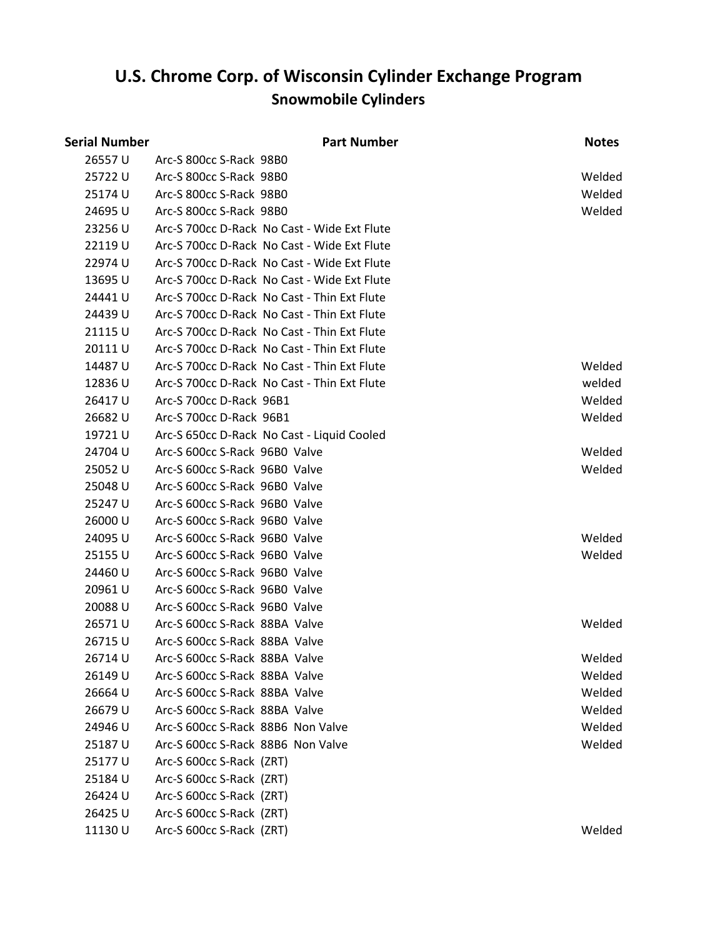|               | <b>Part Number</b> | <b>Notes</b>                                                                                                                                                                                                                                                                                                                                                                                                                                                                                                                                                                                                                                                                                                                                                                                                                                                                                                                                                                                                                                                                                                                                                                                                                                                                                                                                                                                                                                                             |
|---------------|--------------------|--------------------------------------------------------------------------------------------------------------------------------------------------------------------------------------------------------------------------------------------------------------------------------------------------------------------------------------------------------------------------------------------------------------------------------------------------------------------------------------------------------------------------------------------------------------------------------------------------------------------------------------------------------------------------------------------------------------------------------------------------------------------------------------------------------------------------------------------------------------------------------------------------------------------------------------------------------------------------------------------------------------------------------------------------------------------------------------------------------------------------------------------------------------------------------------------------------------------------------------------------------------------------------------------------------------------------------------------------------------------------------------------------------------------------------------------------------------------------|
|               |                    |                                                                                                                                                                                                                                                                                                                                                                                                                                                                                                                                                                                                                                                                                                                                                                                                                                                                                                                                                                                                                                                                                                                                                                                                                                                                                                                                                                                                                                                                          |
|               |                    | Welded                                                                                                                                                                                                                                                                                                                                                                                                                                                                                                                                                                                                                                                                                                                                                                                                                                                                                                                                                                                                                                                                                                                                                                                                                                                                                                                                                                                                                                                                   |
|               |                    | Welded                                                                                                                                                                                                                                                                                                                                                                                                                                                                                                                                                                                                                                                                                                                                                                                                                                                                                                                                                                                                                                                                                                                                                                                                                                                                                                                                                                                                                                                                   |
|               |                    | Welded                                                                                                                                                                                                                                                                                                                                                                                                                                                                                                                                                                                                                                                                                                                                                                                                                                                                                                                                                                                                                                                                                                                                                                                                                                                                                                                                                                                                                                                                   |
|               |                    |                                                                                                                                                                                                                                                                                                                                                                                                                                                                                                                                                                                                                                                                                                                                                                                                                                                                                                                                                                                                                                                                                                                                                                                                                                                                                                                                                                                                                                                                          |
|               |                    |                                                                                                                                                                                                                                                                                                                                                                                                                                                                                                                                                                                                                                                                                                                                                                                                                                                                                                                                                                                                                                                                                                                                                                                                                                                                                                                                                                                                                                                                          |
|               |                    |                                                                                                                                                                                                                                                                                                                                                                                                                                                                                                                                                                                                                                                                                                                                                                                                                                                                                                                                                                                                                                                                                                                                                                                                                                                                                                                                                                                                                                                                          |
|               |                    |                                                                                                                                                                                                                                                                                                                                                                                                                                                                                                                                                                                                                                                                                                                                                                                                                                                                                                                                                                                                                                                                                                                                                                                                                                                                                                                                                                                                                                                                          |
|               |                    |                                                                                                                                                                                                                                                                                                                                                                                                                                                                                                                                                                                                                                                                                                                                                                                                                                                                                                                                                                                                                                                                                                                                                                                                                                                                                                                                                                                                                                                                          |
|               |                    |                                                                                                                                                                                                                                                                                                                                                                                                                                                                                                                                                                                                                                                                                                                                                                                                                                                                                                                                                                                                                                                                                                                                                                                                                                                                                                                                                                                                                                                                          |
|               |                    |                                                                                                                                                                                                                                                                                                                                                                                                                                                                                                                                                                                                                                                                                                                                                                                                                                                                                                                                                                                                                                                                                                                                                                                                                                                                                                                                                                                                                                                                          |
|               |                    |                                                                                                                                                                                                                                                                                                                                                                                                                                                                                                                                                                                                                                                                                                                                                                                                                                                                                                                                                                                                                                                                                                                                                                                                                                                                                                                                                                                                                                                                          |
|               |                    | Welded                                                                                                                                                                                                                                                                                                                                                                                                                                                                                                                                                                                                                                                                                                                                                                                                                                                                                                                                                                                                                                                                                                                                                                                                                                                                                                                                                                                                                                                                   |
|               |                    | welded                                                                                                                                                                                                                                                                                                                                                                                                                                                                                                                                                                                                                                                                                                                                                                                                                                                                                                                                                                                                                                                                                                                                                                                                                                                                                                                                                                                                                                                                   |
|               |                    | Welded                                                                                                                                                                                                                                                                                                                                                                                                                                                                                                                                                                                                                                                                                                                                                                                                                                                                                                                                                                                                                                                                                                                                                                                                                                                                                                                                                                                                                                                                   |
|               |                    | Welded                                                                                                                                                                                                                                                                                                                                                                                                                                                                                                                                                                                                                                                                                                                                                                                                                                                                                                                                                                                                                                                                                                                                                                                                                                                                                                                                                                                                                                                                   |
|               |                    |                                                                                                                                                                                                                                                                                                                                                                                                                                                                                                                                                                                                                                                                                                                                                                                                                                                                                                                                                                                                                                                                                                                                                                                                                                                                                                                                                                                                                                                                          |
|               |                    | Welded                                                                                                                                                                                                                                                                                                                                                                                                                                                                                                                                                                                                                                                                                                                                                                                                                                                                                                                                                                                                                                                                                                                                                                                                                                                                                                                                                                                                                                                                   |
|               |                    | Welded                                                                                                                                                                                                                                                                                                                                                                                                                                                                                                                                                                                                                                                                                                                                                                                                                                                                                                                                                                                                                                                                                                                                                                                                                                                                                                                                                                                                                                                                   |
|               |                    |                                                                                                                                                                                                                                                                                                                                                                                                                                                                                                                                                                                                                                                                                                                                                                                                                                                                                                                                                                                                                                                                                                                                                                                                                                                                                                                                                                                                                                                                          |
|               |                    |                                                                                                                                                                                                                                                                                                                                                                                                                                                                                                                                                                                                                                                                                                                                                                                                                                                                                                                                                                                                                                                                                                                                                                                                                                                                                                                                                                                                                                                                          |
|               |                    |                                                                                                                                                                                                                                                                                                                                                                                                                                                                                                                                                                                                                                                                                                                                                                                                                                                                                                                                                                                                                                                                                                                                                                                                                                                                                                                                                                                                                                                                          |
|               |                    | Welded                                                                                                                                                                                                                                                                                                                                                                                                                                                                                                                                                                                                                                                                                                                                                                                                                                                                                                                                                                                                                                                                                                                                                                                                                                                                                                                                                                                                                                                                   |
|               |                    | Welded                                                                                                                                                                                                                                                                                                                                                                                                                                                                                                                                                                                                                                                                                                                                                                                                                                                                                                                                                                                                                                                                                                                                                                                                                                                                                                                                                                                                                                                                   |
|               |                    |                                                                                                                                                                                                                                                                                                                                                                                                                                                                                                                                                                                                                                                                                                                                                                                                                                                                                                                                                                                                                                                                                                                                                                                                                                                                                                                                                                                                                                                                          |
|               |                    |                                                                                                                                                                                                                                                                                                                                                                                                                                                                                                                                                                                                                                                                                                                                                                                                                                                                                                                                                                                                                                                                                                                                                                                                                                                                                                                                                                                                                                                                          |
|               |                    |                                                                                                                                                                                                                                                                                                                                                                                                                                                                                                                                                                                                                                                                                                                                                                                                                                                                                                                                                                                                                                                                                                                                                                                                                                                                                                                                                                                                                                                                          |
|               |                    | Welded                                                                                                                                                                                                                                                                                                                                                                                                                                                                                                                                                                                                                                                                                                                                                                                                                                                                                                                                                                                                                                                                                                                                                                                                                                                                                                                                                                                                                                                                   |
|               |                    |                                                                                                                                                                                                                                                                                                                                                                                                                                                                                                                                                                                                                                                                                                                                                                                                                                                                                                                                                                                                                                                                                                                                                                                                                                                                                                                                                                                                                                                                          |
|               |                    | Welded                                                                                                                                                                                                                                                                                                                                                                                                                                                                                                                                                                                                                                                                                                                                                                                                                                                                                                                                                                                                                                                                                                                                                                                                                                                                                                                                                                                                                                                                   |
|               |                    | Welded                                                                                                                                                                                                                                                                                                                                                                                                                                                                                                                                                                                                                                                                                                                                                                                                                                                                                                                                                                                                                                                                                                                                                                                                                                                                                                                                                                                                                                                                   |
|               |                    | Welded                                                                                                                                                                                                                                                                                                                                                                                                                                                                                                                                                                                                                                                                                                                                                                                                                                                                                                                                                                                                                                                                                                                                                                                                                                                                                                                                                                                                                                                                   |
|               |                    | Welded                                                                                                                                                                                                                                                                                                                                                                                                                                                                                                                                                                                                                                                                                                                                                                                                                                                                                                                                                                                                                                                                                                                                                                                                                                                                                                                                                                                                                                                                   |
|               |                    | Welded                                                                                                                                                                                                                                                                                                                                                                                                                                                                                                                                                                                                                                                                                                                                                                                                                                                                                                                                                                                                                                                                                                                                                                                                                                                                                                                                                                                                                                                                   |
|               |                    | Welded                                                                                                                                                                                                                                                                                                                                                                                                                                                                                                                                                                                                                                                                                                                                                                                                                                                                                                                                                                                                                                                                                                                                                                                                                                                                                                                                                                                                                                                                   |
|               |                    |                                                                                                                                                                                                                                                                                                                                                                                                                                                                                                                                                                                                                                                                                                                                                                                                                                                                                                                                                                                                                                                                                                                                                                                                                                                                                                                                                                                                                                                                          |
|               |                    |                                                                                                                                                                                                                                                                                                                                                                                                                                                                                                                                                                                                                                                                                                                                                                                                                                                                                                                                                                                                                                                                                                                                                                                                                                                                                                                                                                                                                                                                          |
|               |                    |                                                                                                                                                                                                                                                                                                                                                                                                                                                                                                                                                                                                                                                                                                                                                                                                                                                                                                                                                                                                                                                                                                                                                                                                                                                                                                                                                                                                                                                                          |
|               |                    |                                                                                                                                                                                                                                                                                                                                                                                                                                                                                                                                                                                                                                                                                                                                                                                                                                                                                                                                                                                                                                                                                                                                                                                                                                                                                                                                                                                                                                                                          |
|               |                    | Welded                                                                                                                                                                                                                                                                                                                                                                                                                                                                                                                                                                                                                                                                                                                                                                                                                                                                                                                                                                                                                                                                                                                                                                                                                                                                                                                                                                                                                                                                   |
| Serial Number |                    | Arc-S 800cc S-Rack 98B0<br>Arc-S 800cc S-Rack 98B0<br>Arc-S 800cc S-Rack 98B0<br>Arc-S 800cc S-Rack 98B0<br>Arc-S 700cc D-Rack No Cast - Wide Ext Flute<br>Arc-S 700cc D-Rack No Cast - Wide Ext Flute<br>Arc-S 700cc D-Rack No Cast - Wide Ext Flute<br>Arc-S 700cc D-Rack No Cast - Wide Ext Flute<br>Arc-S 700cc D-Rack No Cast - Thin Ext Flute<br>Arc-S 700cc D-Rack No Cast - Thin Ext Flute<br>Arc-S 700cc D-Rack No Cast - Thin Ext Flute<br>Arc-S 700cc D-Rack No Cast - Thin Ext Flute<br>Arc-S 700cc D-Rack No Cast - Thin Ext Flute<br>Arc-S 700cc D-Rack No Cast - Thin Ext Flute<br>Arc-S 700cc D-Rack 96B1<br>Arc-S 700cc D-Rack 96B1<br>Arc-S 650cc D-Rack No Cast - Liquid Cooled<br>Arc-S 600cc S-Rack 96B0 Valve<br>Arc-S 600cc S-Rack 96B0 Valve<br>Arc-S 600cc S-Rack 96B0 Valve<br>Arc-S 600cc S-Rack 96B0 Valve<br>Arc-S 600cc S-Rack 96B0 Valve<br>Arc-S 600cc S-Rack 96B0 Valve<br>Arc-S 600cc S-Rack 96B0 Valve<br>Arc-S 600cc S-Rack 96B0 Valve<br>Arc-S 600cc S-Rack 96B0 Valve<br>Arc-S 600cc S-Rack 96B0 Valve<br>Arc-S 600cc S-Rack 88BA Valve<br>Arc-S 600cc S-Rack 88BA Valve<br>Arc-S 600cc S-Rack 88BA Valve<br>Arc-S 600cc S-Rack 88BA Valve<br>Arc-S 600cc S-Rack 88BA Valve<br>Arc-S 600cc S-Rack 88BA Valve<br>Arc-S 600cc S-Rack 88B6 Non Valve<br>Arc-S 600cc S-Rack 88B6 Non Valve<br>Arc-S 600cc S-Rack (ZRT)<br>Arc-S 600cc S-Rack (ZRT)<br>Arc-S 600cc S-Rack (ZRT)<br>Arc-S 600cc S-Rack (ZRT)<br>Arc-S 600cc S-Rack (ZRT) |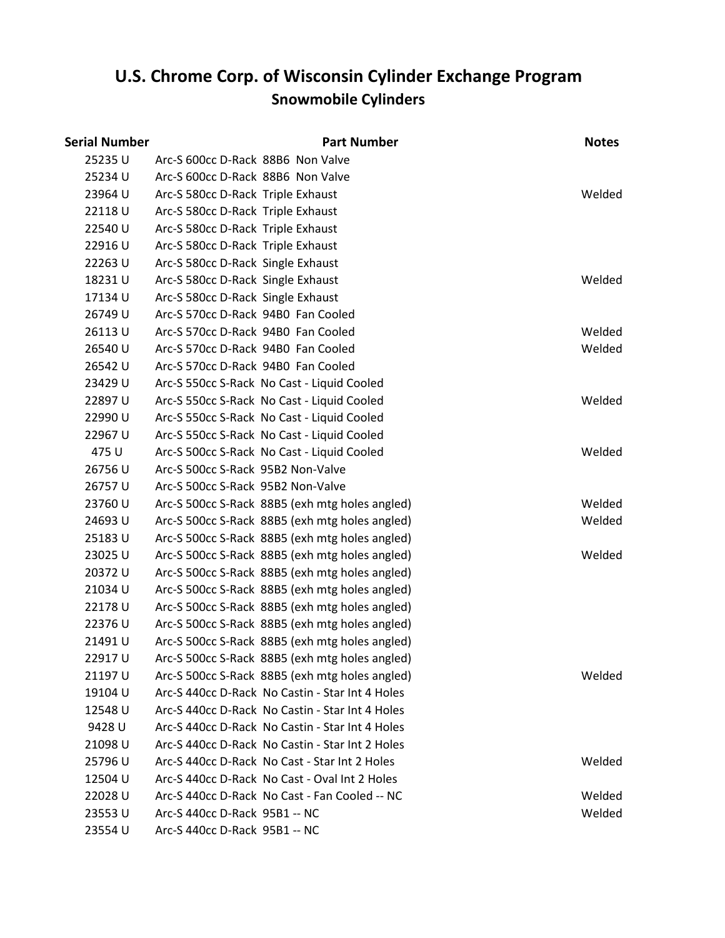# **Snowmobile Cylinders U.S. Chrome Corp. of Wisconsin Cylinder Exchange Program**

| Serial Number |                                    | <b>Part Number</b>                              | <b>Notes</b> |
|---------------|------------------------------------|-------------------------------------------------|--------------|
| 25235U        | Arc-S 600cc D-Rack 88B6 Non Valve  |                                                 |              |
| 25234 U       | Arc-S 600cc D-Rack 88B6 Non Valve  |                                                 |              |
| 23964 U       | Arc-S 580cc D-Rack Triple Exhaust  |                                                 | Welded       |
| 22118U        | Arc-S 580cc D-Rack Triple Exhaust  |                                                 |              |
| 22540 U       | Arc-S 580cc D-Rack Triple Exhaust  |                                                 |              |
| 22916U        | Arc-S 580cc D-Rack Triple Exhaust  |                                                 |              |
| 22263U        | Arc-S 580cc D-Rack Single Exhaust  |                                                 |              |
| 18231U        | Arc-S 580cc D-Rack Single Exhaust  |                                                 | Welded       |
| 17134 U       | Arc-S 580cc D-Rack Single Exhaust  |                                                 |              |
| 26749 U       | Arc-S 570cc D-Rack 94B0 Fan Cooled |                                                 |              |
| 26113U        | Arc-S 570cc D-Rack 94B0 Fan Cooled |                                                 | Welded       |
| 26540 U       | Arc-S 570cc D-Rack 94B0 Fan Cooled |                                                 | Welded       |
| 26542 U       | Arc-S 570cc D-Rack 94B0 Fan Cooled |                                                 |              |
| 23429 U       |                                    | Arc-S 550cc S-Rack No Cast - Liquid Cooled      |              |
| 22897U        |                                    | Arc-S 550cc S-Rack No Cast - Liquid Cooled      | Welded       |
| 22990 U       |                                    | Arc-S 550cc S-Rack No Cast - Liquid Cooled      |              |
| 22967 U       |                                    | Arc-S 550cc S-Rack No Cast - Liquid Cooled      |              |
| 475 U         |                                    | Arc-S 500cc S-Rack No Cast - Liquid Cooled      | Welded       |
| 26756U        | Arc-S 500cc S-Rack 95B2 Non-Valve  |                                                 |              |
| 26757U        | Arc-S 500cc S-Rack 95B2 Non-Valve  |                                                 |              |
| 23760 U       |                                    | Arc-S 500cc S-Rack 88B5 (exh mtg holes angled)  | Welded       |
| 24693U        |                                    | Arc-S 500cc S-Rack 88B5 (exh mtg holes angled)  | Welded       |
| 25183U        |                                    | Arc-S 500cc S-Rack 88B5 (exh mtg holes angled)  |              |
| 23025 U       |                                    | Arc-S 500cc S-Rack 88B5 (exh mtg holes angled)  | Welded       |
| 20372 U       |                                    | Arc-S 500cc S-Rack 88B5 (exh mtg holes angled)  |              |
| 21034 U       |                                    | Arc-S 500cc S-Rack 88B5 (exh mtg holes angled)  |              |
| 22178U        |                                    | Arc-S 500cc S-Rack 88B5 (exh mtg holes angled)  |              |
| 22376 U       |                                    | Arc-S 500cc S-Rack 88B5 (exh mtg holes angled)  |              |
| 21491U        |                                    | Arc-S 500cc S-Rack 88B5 (exh mtg holes angled)  |              |
| 22917 U       |                                    | Arc-S 500cc S-Rack 88B5 (exh mtg holes angled)  |              |
| 21197 U       |                                    | Arc-S 500cc S-Rack 88B5 (exh mtg holes angled)  | Welded       |
| 19104 U       |                                    | Arc-S 440cc D-Rack No Castin - Star Int 4 Holes |              |
| 12548 U       |                                    | Arc-S 440cc D-Rack No Castin - Star Int 4 Holes |              |
| 9428 U        |                                    | Arc-S 440cc D-Rack No Castin - Star Int 4 Holes |              |
| 21098 U       |                                    | Arc-S 440cc D-Rack No Castin - Star Int 2 Holes |              |
| 25796 U       |                                    | Arc-S 440cc D-Rack No Cast - Star Int 2 Holes   | Welded       |
| 12504 U       |                                    | Arc-S 440cc D-Rack No Cast - Oval Int 2 Holes   |              |
| 22028 U       |                                    | Arc-S 440cc D-Rack No Cast - Fan Cooled -- NC   | Welded       |
| 23553U        | Arc-S 440cc D-Rack 95B1 -- NC      |                                                 | Welded       |
| 23554 U       | Arc-S 440cc D-Rack 95B1 -- NC      |                                                 |              |